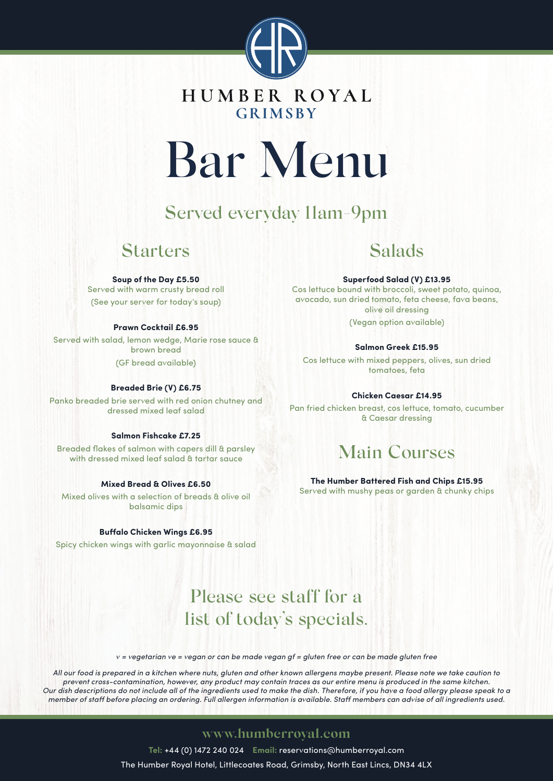

# **GRIMSBY**

# Bar Menu

# Served everyday 11am-9pm

## Starters

### **Soup of the Day £5.50**

Served with warm crusty bread roll (See your server for today's soup)

## **Prawn Cocktail £6.95**

Served with salad, lemon wedge, Marie rose sauce & brown bread (GF bread available)

## **Breaded Brie (V) £6.75**

Panko breaded brie served with red onion chutney and dressed mixed leaf salad

## **Salmon Fishcake £7.25**

Breaded flakes of salmon with capers dill & parsley with dressed mixed leaf salad & tartar sauce

## **Mixed Bread & Olives £6.50**

Mixed olives with a selection of breads & olive oil balsamic dips

## **Buffalo Chicken Wings £6.95**

Spicy chicken wings with garlic mayonnaise & salad

## Salads

### **Superfood Salad (V) £13.95**

Cos lettuce bound with broccoli, sweet potato, quinoa, avocado, sun dried tomato, feta cheese, fava beans, olive oil dressing

(Vegan option available)

## **Salmon Greek £15.95**

Cos lettuce with mixed peppers, olives, sun dried tomatoes, feta

## **Chicken Caesar £14.95**

Pan fried chicken breast, cos lettuce, tomato, cucumber & Caesar dressing

# Main Courses

**The Humber Battered Fish and Chips £15.95** Served with mushy peas or garden & chunky chips

# Please see staff for a list of today's specials.

 $v = v$ egetarian ve = vegan or can be made vegan gf = gluten free or can be made gluten free

All our food is prepared in a kitchen where nuts, gluten and other known allergens maybe present. Please note we take caution to prevent cross-contamination, however, any product may contain traces as our entire menu is produced in the same kitchen. Our dish descriptions do not include all of the ingredients used to make the dish. Therefore, if you have a food allergy please speak to a member of staff before placing an ordering. Full allergen information is available. Staff members can advise of all ingredients used.

## **www.humberroyal.com**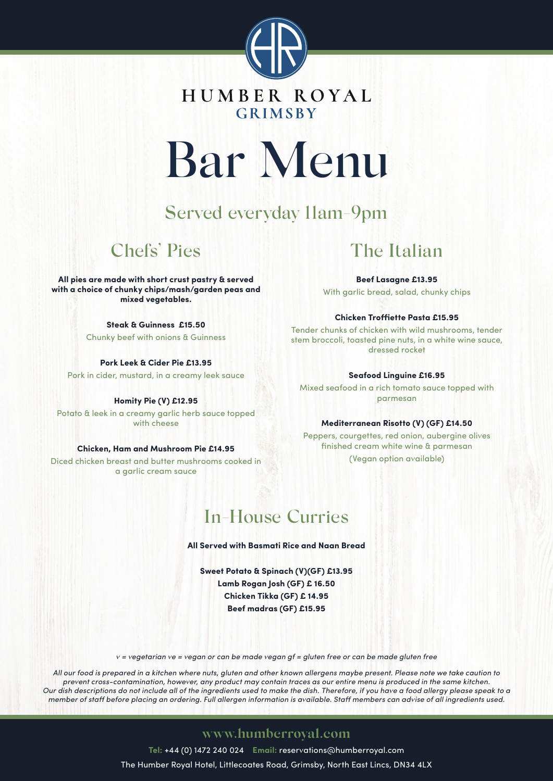

## HUMBER ROYAL **GRIMSBY**

# Bar Menu

# Served everyday 11am-9pm

# Chefs' Pies

**All pies are made with short crust pastry & served with a choice of chunky chips/mash/garden peas and mixed vegetables.**

> **Steak & Guinness £15.50** Chunky beef with onions & Guinness

**Pork Leek & Cider Pie £13.95** Pork in cider, mustard, in a creamy leek sauce

**Homity Pie (V) £12.95** Potato & leek in a creamy garlic herb sauce topped with cheese

**Chicken, Ham and Mushroom Pie £14.95**

Diced chicken breast and butter mushrooms cooked in a garlic cream sauce

# The Italian

**Beef Lasagne £13.95** With garlic bread, salad, chunky chips

## **Chicken Troffiette Pasta £15.95**

Tender chunks of chicken with wild mushrooms, tender stem broccoli, toasted pine nuts, in a white wine sauce, dressed rocket

## **Seafood Linguine £16.95**

Mixed seafood in a rich tomato sauce topped with parmesan

## **Mediterranean Risotto (V) (GF) £14.50**

Peppers, courgettes, red onion, aubergine olives finished cream white wine & parmesan (Vegan option available)

# In-House Curries

**All Served with Basmati Rice and Naan Bread**

**Sweet Potato & Spinach (V)(GF) £13.95 Lamb Rogan Josh (GF) £ 16.50 Chicken Tikka (GF) £ 14.95 Beef madras (GF) £15.95**

 $v = v$ egetarian ve = vegan or can be made vegan gf = gluten free or can be made gluten free

All our food is prepared in a kitchen where nuts, gluten and other known allergens maybe present. Please note we take caution to prevent cross-contamination, however, any product may contain traces as our entire menu is produced in the same kitchen. Our dish descriptions do not include all of the ingredients used to make the dish. Therefore, if you have a food allergy please speak to a member of staff before placing an ordering. Full allergen information is available. Staff members can advise of all ingredients used.

## **www.humberroyal.com**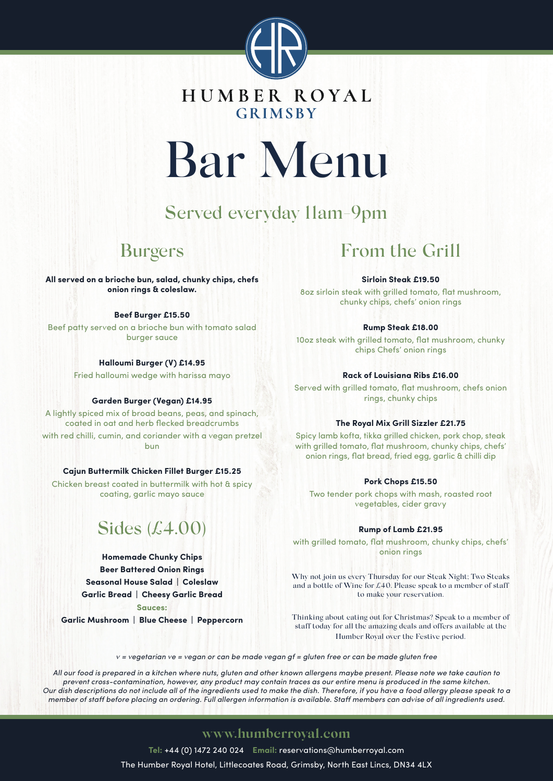

**GRIMSBY** 

# Bar Menu

# Served everyday 11am-9pm

## Burgers

**All served on a brioche bun, salad, chunky chips, chefs onion rings & coleslaw.**

### **Beef Burger £15.50**

Beef patty served on a brioche bun with tomato salad burger sauce

## **Halloumi Burger (V) £14.95**

Fried halloumi wedge with harissa mayo

#### **Garden Burger (Vegan) £14.95**

A lightly spiced mix of broad beans, peas, and spinach, coated in oat and herb flecked breadcrumbs with red chilli, cumin, and coriander with a vegan pretzel bun

## **Cajun Buttermilk Chicken Fillet Burger £15.25**

Chicken breast coated in buttermilk with hot & spicy coating, garlic mayo sauce

# Sides (£4.00)

**Homemade Chunky Chips Beer Battered Onion Rings Seasonal House Salad | Coleslaw Garlic Bread | Cheesy Garlic Bread**

**Sauces:**

**Garlic Mushroom | Blue Cheese | Peppercorn**

## From the Grill

### **Sirloin Steak £19.50**

8oz sirloin steak with grilled tomato, flat mushroom, chunky chips, chefs' onion rings

### **Rump Steak £18.00**

10oz steak with grilled tomato, flat mushroom, chunky chips Chefs' onion rings

#### **Rack of Louisiana Ribs £16.00**

Served with grilled tomato, flat mushroom, chefs onion rings, chunky chips

#### **The Royal Mix Grill Sizzler £21.75**

Spicy lamb kofta, tikka grilled chicken, pork chop, steak with grilled tomato, flat mushroom, chunky chips, chefs' onion rings, flat bread, fried egg, garlic & chilli dip

#### **Pork Chops £15.50**

Two tender pork chops with mash, roasted root vegetables, cider gravy

#### **Rump of Lamb £21.95**

with grilled tomato, flat mushroom, chunky chips, chefs' onion rings

Why not join us every Thursday for our Steak Night; Two Steaks and a bottle of Wine for £40. Please speak to a member of staff to make your reservation.

Thinking about eating out for Christmas? Speak to a member of staff today for all the amazing deals and offers available at the Humber Royal over the Festive period.

 $v = v$ egetarian ve = vegan or can be made vegan gf = gluten free or can be made gluten free

All our food is prepared in a kitchen where nuts, gluten and other known allergens maybe present. Please note we take caution to prevent cross-contamination, however, any product may contain traces as our entire menu is produced in the same kitchen. Our dish descriptions do not include all of the ingredients used to make the dish. Therefore, if you have a food allergy please speak to a member of staff before placing an ordering. Full allergen information is available. Staff members can advise of all ingredients used.

## **www.humberroyal.com**